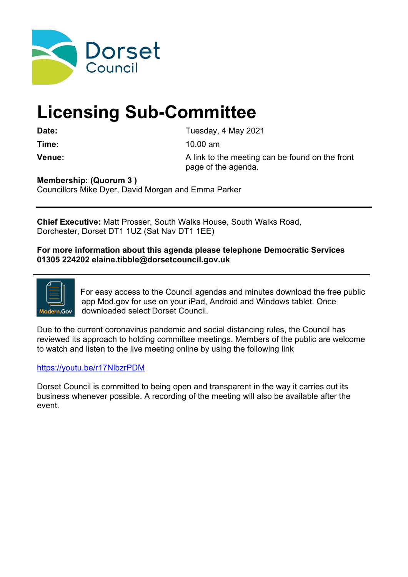

# **Licensing Sub-Committee**

Date: Date: Tuesday, 4 May 2021

**Time:** 10.00 am

**Venue:** A link to the meeting can be found on the front page of the agenda.

**Membership: (Quorum 3 )**

Councillors Mike Dyer, David Morgan and Emma Parker

**Chief Executive:** Matt Prosser, South Walks House, South Walks Road, Dorchester, Dorset DT1 1UZ (Sat Nav DT1 1EE)

**For more information about this agenda please telephone Democratic Services 01305 224202 elaine.tibble@dorsetcouncil.gov.uk**



For easy access to the Council agendas and minutes download the free public app Mod.gov for use on your iPad, Android and Windows tablet. Once downloaded select Dorset Council.

Due to the current coronavirus pandemic and social distancing rules, the Council has reviewed its approach to holding committee meetings. Members of the public are welcome to watch and listen to the live meeting online by using the following link

#### <https://youtu.be/r17NlbzrPDM>

Dorset Council is committed to being open and transparent in the way it carries out its business whenever possible. A recording of the meeting will also be available after the event.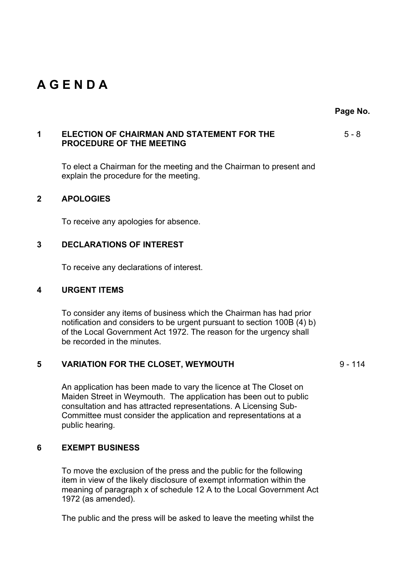## **A G E N D A**

**Page No.**

#### **1 ELECTION OF CHAIRMAN AND STATEMENT FOR THE PROCEDURE OF THE MEETING** 5 - 8

To elect a Chairman for the meeting and the Chairman to present and explain the procedure for the meeting.

#### **2 APOLOGIES**

To receive any apologies for absence.

#### **3 DECLARATIONS OF INTEREST**

To receive any declarations of interest.

#### **4 URGENT ITEMS**

To consider any items of business which the Chairman has had prior notification and considers to be urgent pursuant to section 100B (4) b) of the Local Government Act 1972. The reason for the urgency shall be recorded in the minutes.

#### **5 VARIATION FOR THE CLOSET, WEYMOUTH** 9 - 114

An application has been made to vary the licence at The Closet on Maiden Street in Weymouth. The application has been out to public consultation and has attracted representations. A Licensing Sub-Committee must consider the application and representations at a public hearing.

### **6 EXEMPT BUSINESS**

To move the exclusion of the press and the public for the following item in view of the likely disclosure of exempt information within the meaning of paragraph x of schedule 12 A to the Local Government Act 1972 (as amended).

The public and the press will be asked to leave the meeting whilst the